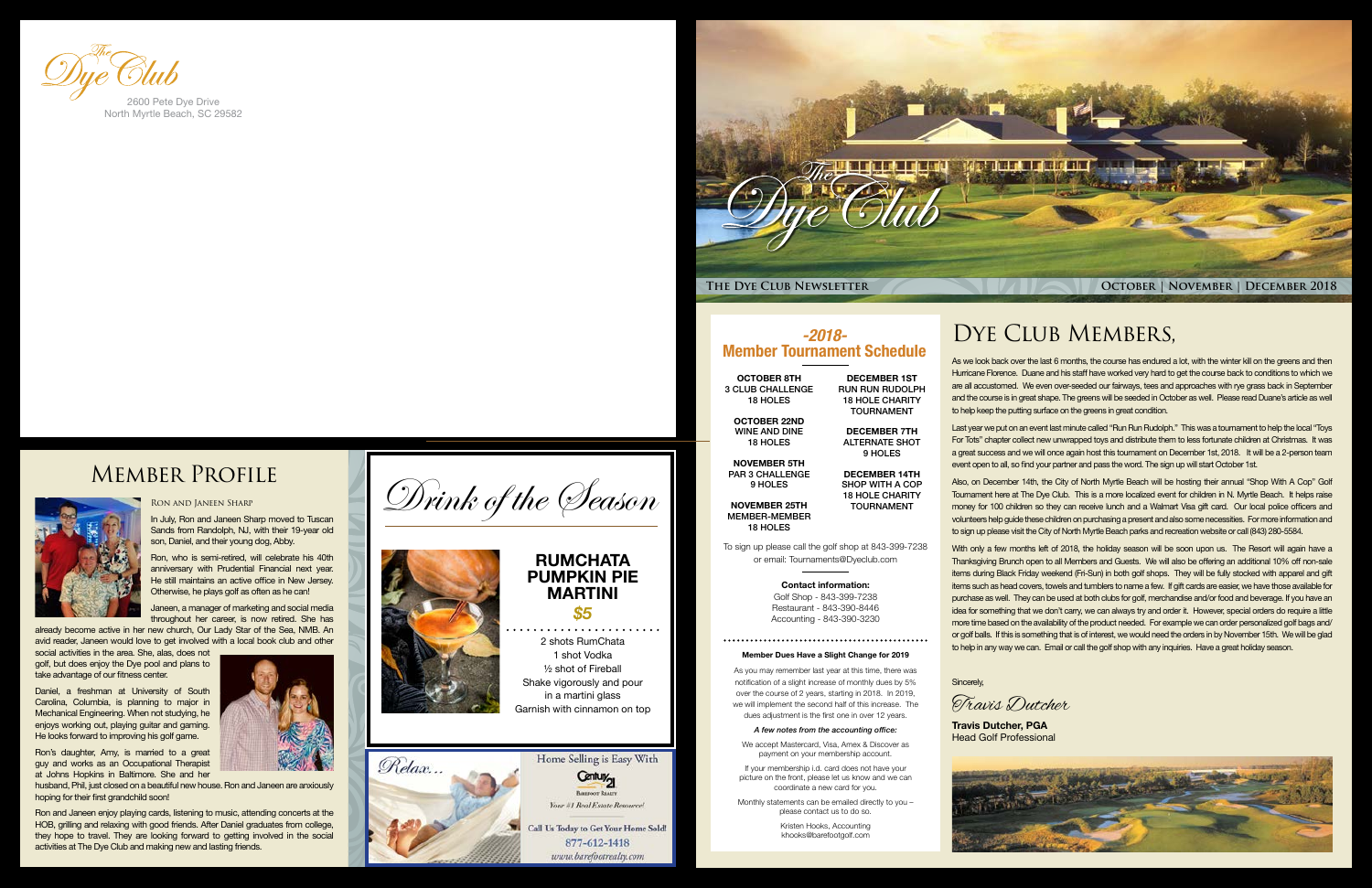

# DYE CLUB MEMBERS,

As we look back over the last 6 months, the course has endured a lot, with the winter kill on the greens and then Hurricane Florence. Duane and his staff have worked very hard to get the course back to conditions to which we are all accustomed. We even over-seeded our fairways, tees and approaches with rye grass back in September and the course is in great shape. The greens will be seeded in October as well. Please read Duane's article as well to help keep the putting surface on the greens in great condition.

Last year we put on an event last minute called "Run Run Rudolph." This was a tournament to help the local "Toys For Tots" chapter collect new unwrapped toys and distribute them to less fortunate children at Christmas. It was a great success and we will once again host this tournament on December 1st, 2018. It will be a 2-person team event open to all, so find your partner and pass the word. The sign up will start October 1st.

With only a few months left of 2018, the holiday season will be soon upon us. The Resort will again have a Thanksgiving Brunch open to all Members and Guests. We will also be offering an additional 10% off non-sale items during Black Friday weekend (Fri-Sun) in both golf shops. They will be fully stocked with apparel and gift items such as head covers, towels and tumblers to name a few. If gift cards are easier, we have those available for purchase as well. They can be used at both clubs for golf, merchandise and/or food and beverage. If you have an idea for something that we don't carry, we can always try and order it. However, special orders do require a little more time based on the availability of the product needed. For example we can order personalized golf bags and/ or golf balls. If this is something that is of interest, we would need the orders in by November 15th. We will be glad to help in any way we can. Email or call the golf shop with any inquiries. Have a great holiday season.

Also, on December 14th, the City of North Myrtle Beach will be hosting their annual "Shop With A Cop" Golf Tournament here at The Dye Club. This is a more localized event for children in N. Myrtle Beach. It helps raise money for 100 children so they can receive lunch and a Walmart Visa gift card. Our local police officers and volunteers help guide these children on purchasing a present and also some necessities. For more information and to sign up please visit the City of North Myrtle Beach parks and recreation website or call (843) 280-5584.

#### Sincerely,

#### Ron and Janeen Sharp

In July, Ron and Janeen Sharp moved to Tuscan Sands from Randolph, NJ, with their 19-year old son, Daniel, and their young dog, Abby.

Ron, who is semi-retired, will celebrate his 40th anniversary with Prudential Financial next year. He still maintains an active office in New Jersey. Otherwise, he plays golf as often as he can!

Janeen, a manager of marketing and social media throughout her career, is now retired. She has

already become active in her new church, Our Lady Star of the Sea, NMB. An avid reader, Janeen would love to get involved with a local book club and other

social activities in the area. She, alas, does not golf, but does enjoy the Dye pool and plans to take advantage of our fitness center.

Daniel, a freshman at University of South Carolina, Columbia, is planning to major in Mechanical Engineering. When not studying, he enjoys working out, playing guitar and gaming. He looks forward to improving his golf game.

Ron's daughter, Amy, is married to a great guy and works as an Occupational Therapist at Johns Hopkins in Baltimore. She and her

husband, Phil, just closed on a beautiful new house. Ron and Janeen are anxiously hoping for their first grandchild soon!

Ron and Janeen enjoy playing cards, listening to music, attending concerts at the HOB, grilling and relaxing with good friends. After Daniel graduates from college, they hope to travel. They are looking forward to getting involved in the social activities at The Dye Club and making new and lasting friends.



North Myrtle Beach, SC 29582

# Member Profile



**Travis Dutcher, PGA** Head Golf Professional



Travis Dutcher



# *-2018-*

## Member Tournament Schedule

OCTOBER 8TH 3 CLUB CHALLENGE 18 HOLES

OCTOBER 22ND WINE AND DINE 18 HOLES

NOVEMBER 5TH PAR 3 CHALLENGE 9 HOLES

NOVEMBER 25TH MEMBER-MEMBER 18 HOLES

DECEMBER 1ST RUN RUN RUDOLPH 18 HOLE CHARITY TOURNAMENT

DECEMBER 7TH ALTERNATE SHOT 9 HOLES

#### DECEMBER 14TH SHOP WITH A COP 18 HOLE CHARITY TOURNAMENT

To sign up please call the golf shop at 843-399-7238 or email: Tournaments@Dyeclub.com

#### Contact information:

Golf Shop - 843-399-7238 Restaurant - 843-390-8446 Accounting - 843-390-3230

#### Member Dues Have a Slight Change for 2019

As you may remember last year at this time, there was notification of a slight increase of monthly dues by 5% over the course of 2 years, starting in 2018. In 2019, we will implement the second half of this increase. The dues adjustment is the first one in over 12 years.

#### *A few notes from the accounting office:*

We accept Mastercard, Visa, Amex & Discover as payment on your membership account.

If your membership i.d. card does not have your picture on the front, please let us know and we can coordinate a new card for you.

Monthly statements can be emailed directly to you – please contact us to do so.

> Kristen Hooks, Accounting khooks@barefootgolf.com

#### **RUMCHATA PUMPKIN PIE MARTINI** *\$5*

2 shots RumChata 1 shot Vodka ½ shot of Fireball Shake vigorously and pour in a martini glass Garnish with cinnamon on top

Home Selling is Easy With

Century<sub>21</sub> **Buttoor R** Your #1 Real Estate Resource!

877-612-1418 www.barefootrealty.com



Drink of the Season